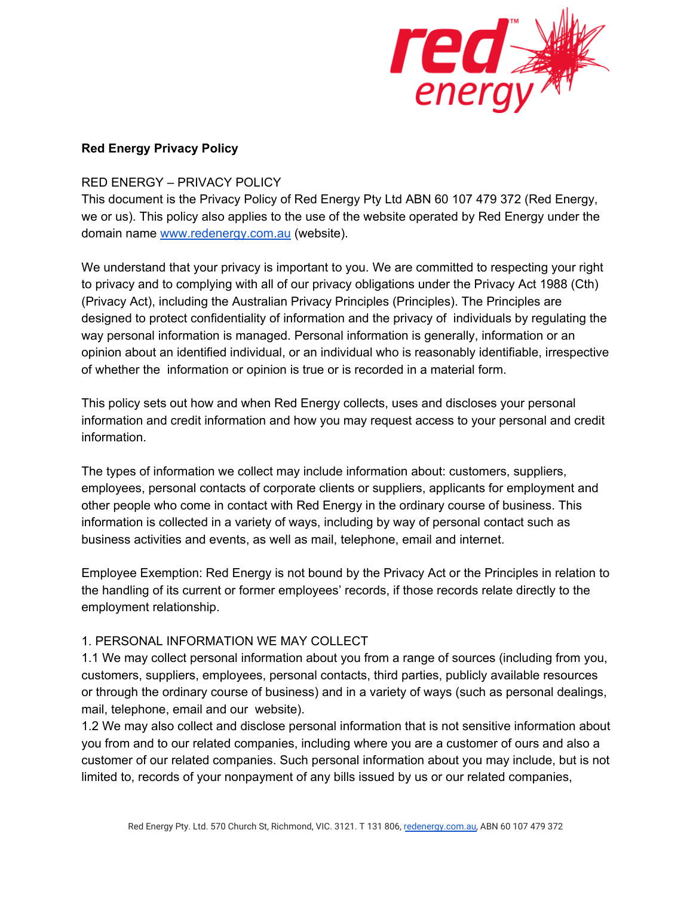

### **Red Energy Privacy Policy**

### RED ENERGY – PRIVACY POLICY

This document is the Privacy Policy of Red Energy Pty Ltd ABN 60 107 479 372 (Red Energy, we or us). This policy also applies to the use of the website operated by Red Energy under the domain name [www.redenergy.com.au](http://www.redenergy.com.au/) (website).

We understand that your privacy is important to you. We are committed to respecting your right to privacy and to complying with all of our privacy obligations under the Privacy Act 1988 (Cth) (Privacy Act), including the Australian Privacy Principles (Principles). The Principles are designed to protect confidentiality of information and the privacy of individuals by regulating the way personal information is managed. Personal information is generally, information or an opinion about an identified individual, or an individual who is reasonably identifiable, irrespective of whether the information or opinion is true or is recorded in a material form.

This policy sets out how and when Red Energy collects, uses and discloses your personal information and credit information and how you may request access to your personal and credit information.

The types of information we collect may include information about: customers, suppliers, employees, personal contacts of corporate clients or suppliers, applicants for employment and other people who come in contact with Red Energy in the ordinary course of business. This information is collected in a variety of ways, including by way of personal contact such as business activities and events, as well as mail, telephone, email and internet.

Employee Exemption: Red Energy is not bound by the Privacy Act or the Principles in relation to the handling of its current or former employees' records, if those records relate directly to the employment relationship.

## 1. PERSONAL INFORMATION WE MAY COLLECT

1.1 We may collect personal information about you from a range of sources (including from you, customers, suppliers, employees, personal contacts, third parties, publicly available resources or through the ordinary course of business) and in a variety of ways (such as personal dealings, mail, telephone, email and our website).

1.2 We may also collect and disclose personal information that is not sensitive information about you from and to our related companies, including where you are a customer of ours and also a customer of our related companies. Such personal information about you may include, but is not limited to, records of your nonpayment of any bills issued by us or our related companies,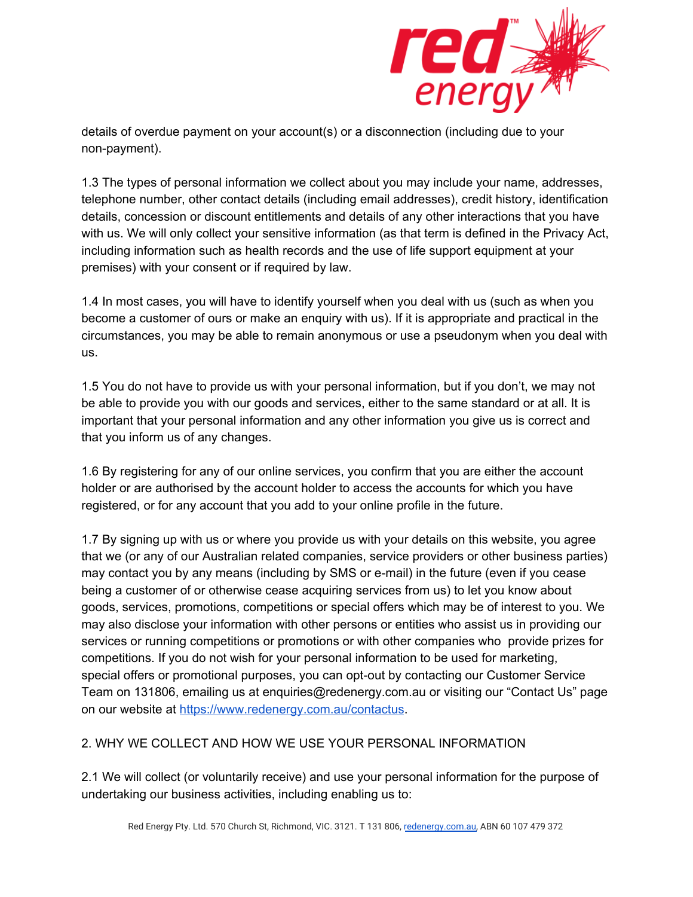

details of overdue payment on your account(s) or a disconnection (including due to your non-payment).

1.3 The types of personal information we collect about you may include your name, addresses, telephone number, other contact details (including email addresses), credit history, identification details, concession or discount entitlements and details of any other interactions that you have with us. We will only collect your sensitive information (as that term is defined in the Privacy Act, including information such as health records and the use of life support equipment at your premises) with your consent or if required by law.

1.4 In most cases, you will have to identify yourself when you deal with us (such as when you become a customer of ours or make an enquiry with us). If it is appropriate and practical in the circumstances, you may be able to remain anonymous or use a pseudonym when you deal with us.

1.5 You do not have to provide us with your personal information, but if you don't, we may not be able to provide you with our goods and services, either to the same standard or at all. It is important that your personal information and any other information you give us is correct and that you inform us of any changes.

1.6 By registering for any of our online services, you confirm that you are either the account holder or are authorised by the account holder to access the accounts for which you have registered, or for any account that you add to your online profile in the future.

1.7 By signing up with us or where you provide us with your details on this website, you agree that we (or any of our Australian related companies, service providers or other business parties) may contact you by any means (including by SMS or e-mail) in the future (even if you cease being a customer of or otherwise cease acquiring services from us) to let you know about goods, services, promotions, competitions or special offers which may be of interest to you. We may also disclose your information with other persons or entities who assist us in providing our services or running competitions or promotions or with other companies who provide prizes for competitions. If you do not wish for your personal information to be used for marketing, special offers or promotional purposes, you can opt-out by contacting our Customer Service Team on 131806, emailing us at enquiries@redenergy.com.au or visiting our "Contact Us" page on our website at <https://www.redenergy.com.au/contactus>.

## 2. WHY WE COLLECT AND HOW WE USE YOUR PERSONAL INFORMATION

2.1 We will collect (or voluntarily receive) and use your personal information for the purpose of undertaking our business activities, including enabling us to: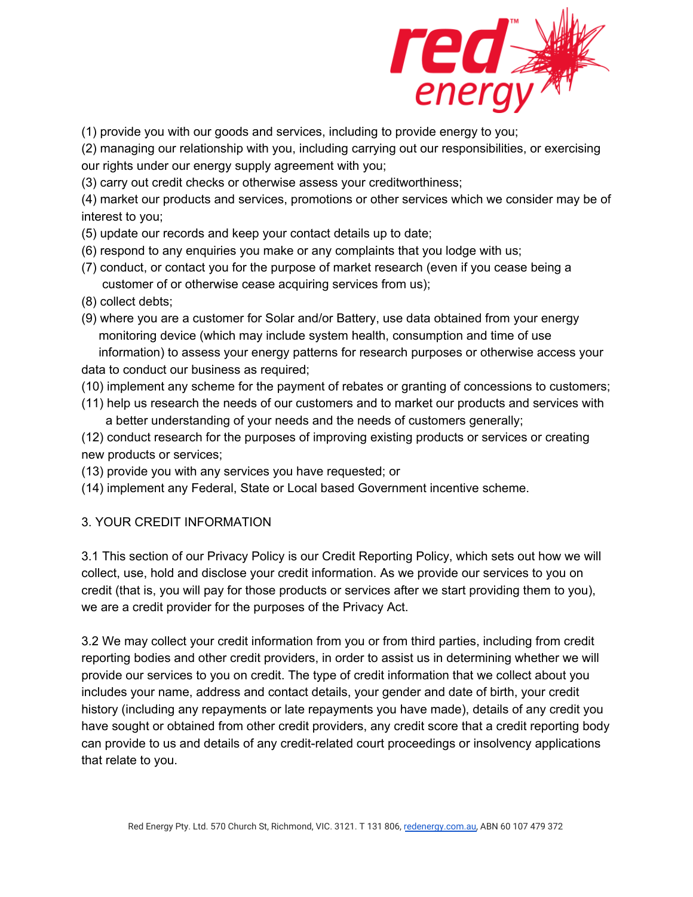

(1) provide you with our goods and services, including to provide energy to you;

(2) managing our relationship with you, including carrying out our responsibilities, or exercising our rights under our energy supply agreement with you;

(3) carry out credit checks or otherwise assess your creditworthiness;

(4) market our products and services, promotions or other services which we consider may be of interest to you;

(5) update our records and keep your contact details up to date;

- (6) respond to any enquiries you make or any complaints that you lodge with us;
- (7) conduct, or contact you for the purpose of market research (even if you cease being a customer of or otherwise cease acquiring services from us);
- (8) collect debts;
- (9) where you are a customer for Solar and/or Battery, use data obtained from your energy monitoring device (which may include system health, consumption and time of use information) to assess your energy patterns for research purposes or otherwise access your data to conduct our business as required;
- (10) implement any scheme for the payment of rebates or granting of concessions to customers;
- (11) help us research the needs of our customers and to market our products and services with a better understanding of your needs and the needs of customers generally;

(12) conduct research for the purposes of improving existing products or services or creating new products or services;

(13) provide you with any services you have requested; or

(14) implement any Federal, State or Local based Government incentive scheme.

## 3. YOUR CREDIT INFORMATION

3.1 This section of our Privacy Policy is our Credit Reporting Policy, which sets out how we will collect, use, hold and disclose your credit information. As we provide our services to you on credit (that is, you will pay for those products or services after we start providing them to you), we are a credit provider for the purposes of the Privacy Act.

3.2 We may collect your credit information from you or from third parties, including from credit reporting bodies and other credit providers, in order to assist us in determining whether we will provide our services to you on credit. The type of credit information that we collect about you includes your name, address and contact details, your gender and date of birth, your credit history (including any repayments or late repayments you have made), details of any credit you have sought or obtained from other credit providers, any credit score that a credit reporting body can provide to us and details of any credit-related court proceedings or insolvency applications that relate to you.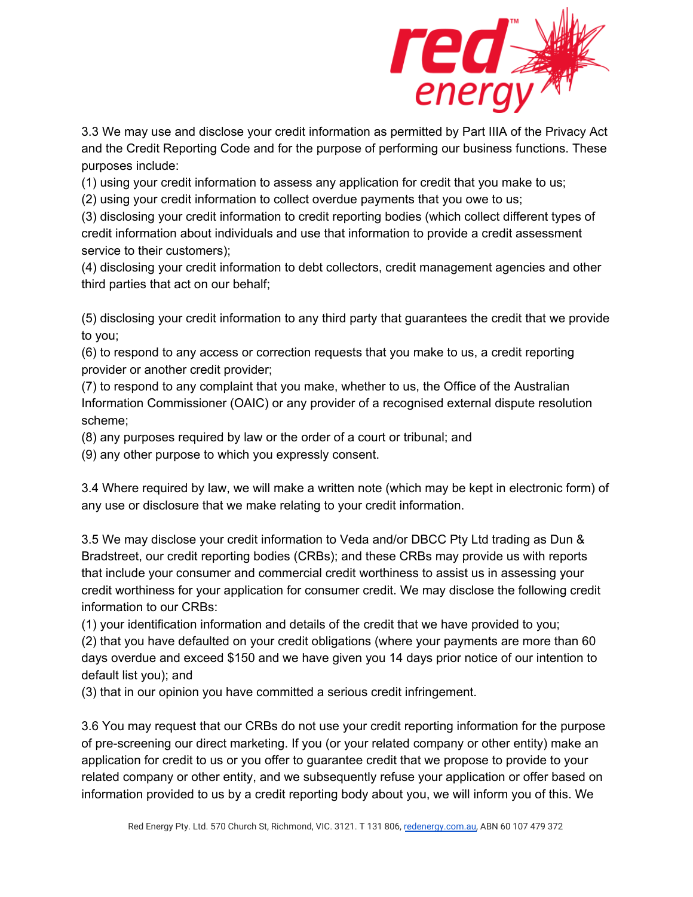

3.3 We may use and disclose your credit information as permitted by Part IIIA of the Privacy Act and the Credit Reporting Code and for the purpose of performing our business functions. These purposes include:

(1) using your credit information to assess any application for credit that you make to us;

(2) using your credit information to collect overdue payments that you owe to us;

(3) disclosing your credit information to credit reporting bodies (which collect different types of credit information about individuals and use that information to provide a credit assessment service to their customers);

(4) disclosing your credit information to debt collectors, credit management agencies and other third parties that act on our behalf;

(5) disclosing your credit information to any third party that guarantees the credit that we provide to you;

(6) to respond to any access or correction requests that you make to us, a credit reporting provider or another credit provider;

(7) to respond to any complaint that you make, whether to us, the Office of the Australian Information Commissioner (OAIC) or any provider of a recognised external dispute resolution scheme;

(8) any purposes required by law or the order of a court or tribunal; and

(9) any other purpose to which you expressly consent.

3.4 Where required by law, we will make a written note (which may be kept in electronic form) of any use or disclosure that we make relating to your credit information.

3.5 We may disclose your credit information to Veda and/or DBCC Pty Ltd trading as Dun & Bradstreet, our credit reporting bodies (CRBs); and these CRBs may provide us with reports that include your consumer and commercial credit worthiness to assist us in assessing your credit worthiness for your application for consumer credit. We may disclose the following credit information to our CRBs:

(1) your identification information and details of the credit that we have provided to you;

(2) that you have defaulted on your credit obligations (where your payments are more than 60 days overdue and exceed \$150 and we have given you 14 days prior notice of our intention to default list you); and

(3) that in our opinion you have committed a serious credit infringement.

3.6 You may request that our CRBs do not use your credit reporting information for the purpose of pre-screening our direct marketing. If you (or your related company or other entity) make an application for credit to us or you offer to guarantee credit that we propose to provide to your related company or other entity, and we subsequently refuse your application or offer based on information provided to us by a credit reporting body about you, we will inform you of this. We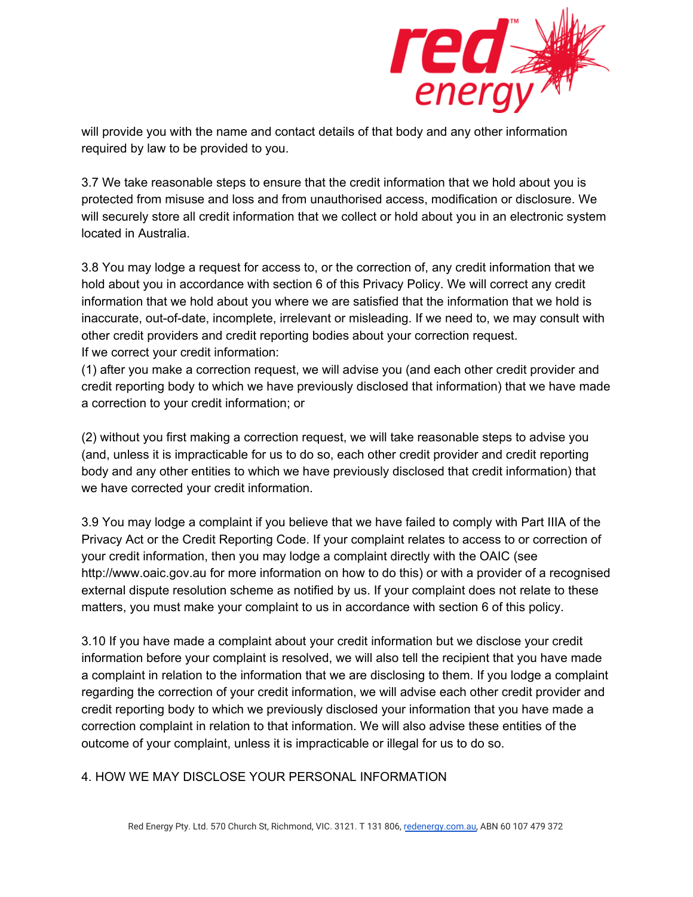

will provide you with the name and contact details of that body and any other information required by law to be provided to you.

3.7 We take reasonable steps to ensure that the credit information that we hold about you is protected from misuse and loss and from unauthorised access, modification or disclosure. We will securely store all credit information that we collect or hold about you in an electronic system located in Australia.

3.8 You may lodge a request for access to, or the correction of, any credit information that we hold about you in accordance with section 6 of this Privacy Policy. We will correct any credit information that we hold about you where we are satisfied that the information that we hold is inaccurate, out-of-date, incomplete, irrelevant or misleading. If we need to, we may consult with other credit providers and credit reporting bodies about your correction request. If we correct your credit information:

(1) after you make a correction request, we will advise you (and each other credit provider and credit reporting body to which we have previously disclosed that information) that we have made a correction to your credit information; or

(2) without you first making a correction request, we will take reasonable steps to advise you (and, unless it is impracticable for us to do so, each other credit provider and credit reporting body and any other entities to which we have previously disclosed that credit information) that we have corrected your credit information.

3.9 You may lodge a complaint if you believe that we have failed to comply with Part IIIA of the Privacy Act or the Credit Reporting Code. If your complaint relates to access to or correction of your credit information, then you may lodge a complaint directly with the OAIC (see http://www.oaic.gov.au for more information on how to do this) or with a provider of a recognised external dispute resolution scheme as notified by us. If your complaint does not relate to these matters, you must make your complaint to us in accordance with section 6 of this policy.

3.10 If you have made a complaint about your credit information but we disclose your credit information before your complaint is resolved, we will also tell the recipient that you have made a complaint in relation to the information that we are disclosing to them. If you lodge a complaint regarding the correction of your credit information, we will advise each other credit provider and credit reporting body to which we previously disclosed your information that you have made a correction complaint in relation to that information. We will also advise these entities of the outcome of your complaint, unless it is impracticable or illegal for us to do so.

## 4. HOW WE MAY DISCLOSE YOUR PERSONAL INFORMATION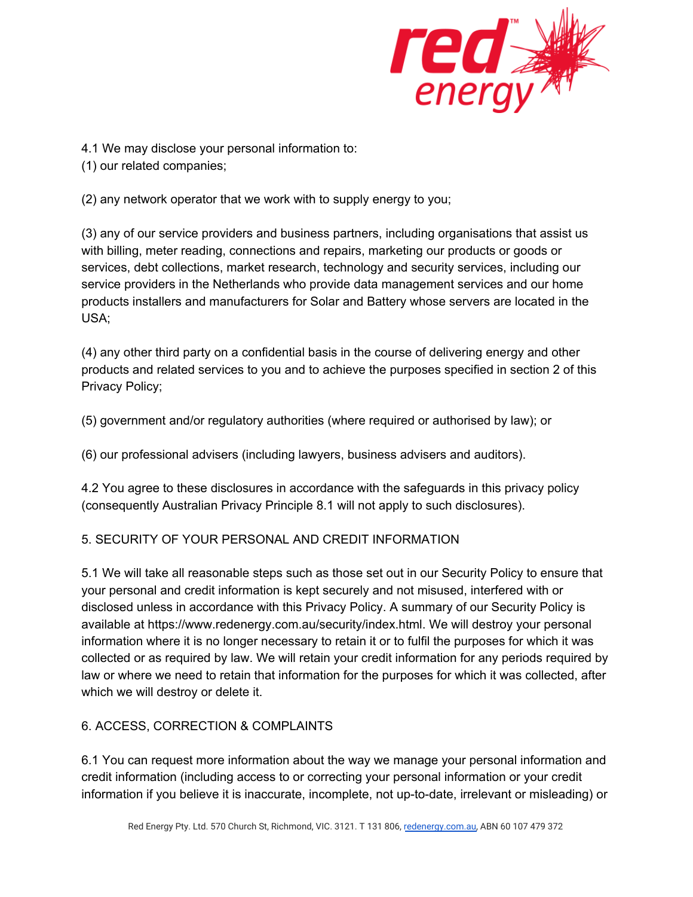

4.1 We may disclose your personal information to:

(1) our related companies;

(2) any network operator that we work with to supply energy to you;

(3) any of our service providers and business partners, including organisations that assist us with billing, meter reading, connections and repairs, marketing our products or goods or services, debt collections, market research, technology and security services, including our service providers in the Netherlands who provide data management services and our home products installers and manufacturers for Solar and Battery whose servers are located in the USA;

(4) any other third party on a confidential basis in the course of delivering energy and other products and related services to you and to achieve the purposes specified in section 2 of this Privacy Policy;

(5) government and/or regulatory authorities (where required or authorised by law); or

(6) our professional advisers (including lawyers, business advisers and auditors).

4.2 You agree to these disclosures in accordance with the safeguards in this privacy policy (consequently Australian Privacy Principle 8.1 will not apply to such disclosures).

# 5. SECURITY OF YOUR PERSONAL AND CREDIT INFORMATION

5.1 We will take all reasonable steps such as those set out in our Security Policy to ensure that your personal and credit information is kept securely and not misused, interfered with or disclosed unless in accordance with this Privacy Policy. A summary of our Security Policy is available at https://www.redenergy.com.au/security/index.html. We will destroy your personal information where it is no longer necessary to retain it or to fulfil the purposes for which it was collected or as required by law. We will retain your credit information for any periods required by law or where we need to retain that information for the purposes for which it was collected, after which we will destroy or delete it.

# 6. ACCESS, CORRECTION & COMPLAINTS

6.1 You can request more information about the way we manage your personal information and credit information (including access to or correcting your personal information or your credit information if you believe it is inaccurate, incomplete, not up-to-date, irrelevant or misleading) or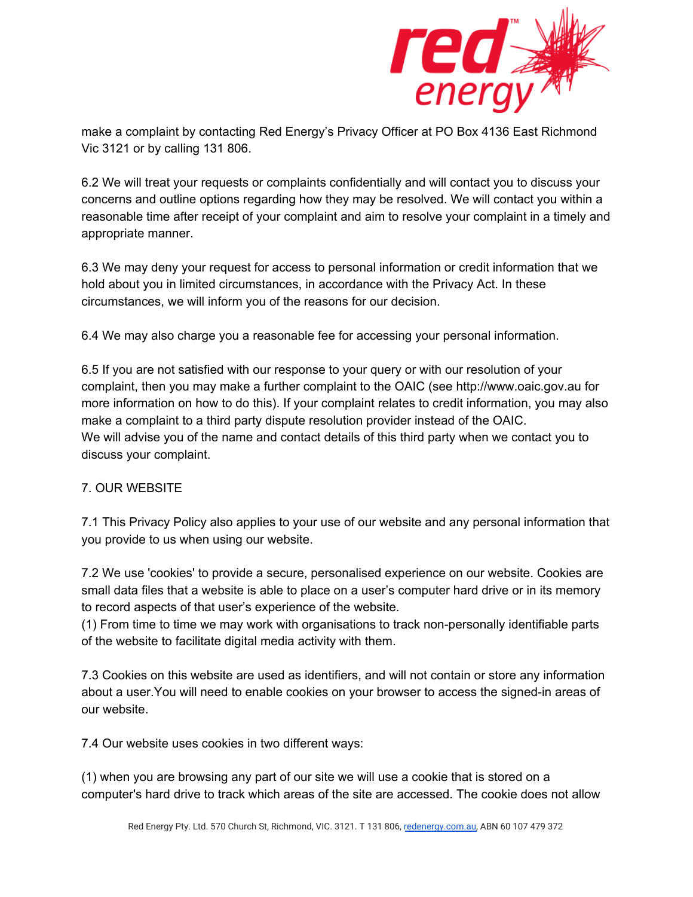

make a complaint by contacting Red Energy's Privacy Officer at PO Box 4136 East Richmond Vic 3121 or by calling 131 806.

6.2 We will treat your requests or complaints confidentially and will contact you to discuss your concerns and outline options regarding how they may be resolved. We will contact you within a reasonable time after receipt of your complaint and aim to resolve your complaint in a timely and appropriate manner.

6.3 We may deny your request for access to personal information or credit information that we hold about you in limited circumstances, in accordance with the Privacy Act. In these circumstances, we will inform you of the reasons for our decision.

6.4 We may also charge you a reasonable fee for accessing your personal information.

6.5 If you are not satisfied with our response to your query or with our resolution of your complaint, then you may make a further complaint to the OAIC (see http://www.oaic.gov.au for more information on how to do this). If your complaint relates to credit information, you may also make a complaint to a third party dispute resolution provider instead of the OAIC. We will advise you of the name and contact details of this third party when we contact you to discuss your complaint.

## 7. OUR WEBSITE

7.1 This Privacy Policy also applies to your use of our website and any personal information that you provide to us when using our website.

7.2 We use 'cookies' to provide a secure, personalised experience on our website. Cookies are small data files that a website is able to place on a user's computer hard drive or in its memory to record aspects of that user's experience of the website.

(1) From time to time we may work with organisations to track non-personally identifiable parts of the website to facilitate digital media activity with them.

7.3 Cookies on this website are used as identifiers, and will not contain or store any information about a user.You will need to enable cookies on your browser to access the signed-in areas of our website.

7.4 Our website uses cookies in two different ways:

(1) when you are browsing any part of our site we will use a cookie that is stored on a computer's hard drive to track which areas of the site are accessed. The cookie does not allow